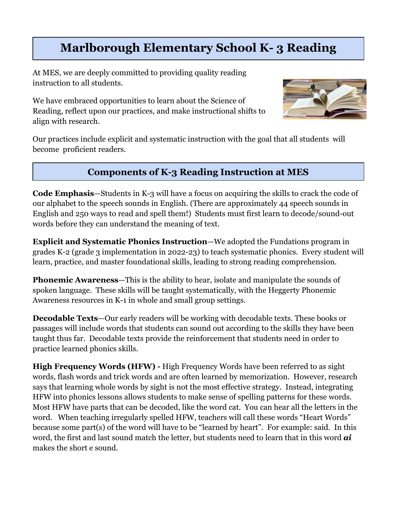# **Marlborough Elementary School K- 3 Reading**

At MES, we are deeply committed to providing quality reading instruction to all students.

We have embraced opportunities to learn about the Science of Reading, reflect upon our practices, and make instructional shifts to align with research.



Our practices include explicit and systematic instruction with the goal that all students will become proficient readers.

## **Components of K-3 Reading Instruction at MES**

**Code Emphasis**—Students in K-3 will have a focus on acquiring the skills to crack the code of our alphabet to the speech sounds in English. (There are approximately 44 speech sounds in English and 250 ways to read and spell them!) Students must first learn to decode/sound-out words before they can understand the meaning of text.

**Explicit and Systematic Phonics Instruction**—We adopted the Fundations program in grades K-2 (grade 3 implementation in 2022-23) to teach systematic phonics. Every student will learn, practice, and master foundational skills, leading to strong reading comprehension.

**Phonemic Awareness—This is the ability to hear, isolate and manipulate the sounds of** spoken language. These skills will be taught systematically, with the Heggerty Phonemic Awareness resources in K-1 in whole and small group settings.

**Decodable Texts**—Our early readers will be working with decodable texts. These books or passages will include words that students can sound out according to the skills they have been taught thus far. Decodable texts provide the reinforcement that students need in order to practice learned phonics skills.

**High Frequency Words (HFW) -** High Frequency Words have been referred to as sight words, flash words and trick words and are often learned by memorization. However, research says that learning whole words by sight is not the most effective strategy. Instead, integrating HFW into phonics lessons allows students to make sense of spelling patterns for these words. Most HFW have parts that can be decoded, like the word cat. You can hear all the letters in the word. When teaching irregularly spelled HFW, teachers will call these words "Heart Words" because some part(s) of the word will have to be "learned by heart". For example: said. In this word, the first and last sound match the letter, but students need to learn that in this word *ai* makes the short e sound.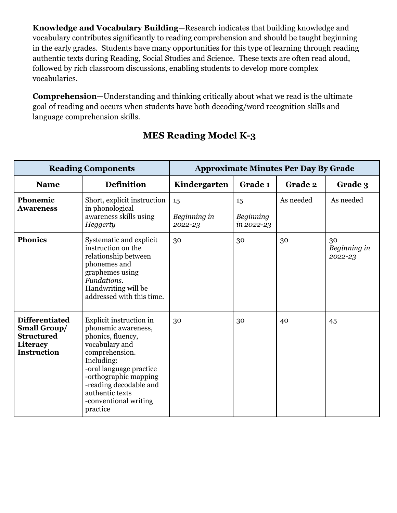**Knowledge and Vocabulary Building**—Research indicates that building knowledge and vocabulary contributes significantly to reading comprehension and should be taught beginning in the early grades. Students have many opportunities for this type of learning through reading authentic texts during Reading, Social Studies and Science. These texts are often read aloud, followed by rich classroom discussions, enabling students to develop more complex vocabularies.

**Comprehension**—Understanding and thinking critically about what we read is the ultimate goal of reading and occurs when students have both decoding/word recognition skills and language comprehension skills.

| <b>Reading Components</b>                                                                           |                                                                                                                                                                                                                                                             | <b>Approximate Minutes Per Day By Grade</b> |                               |           |                               |  |
|-----------------------------------------------------------------------------------------------------|-------------------------------------------------------------------------------------------------------------------------------------------------------------------------------------------------------------------------------------------------------------|---------------------------------------------|-------------------------------|-----------|-------------------------------|--|
| <b>Name</b>                                                                                         | <b>Definition</b>                                                                                                                                                                                                                                           | Kindergarten                                | Grade 1                       | Grade 2   | Grade 3                       |  |
| Phonemic<br><b>Awareness</b>                                                                        | Short, explicit instruction<br>in phonological<br>awareness skills using<br>Heggerty                                                                                                                                                                        | 15<br>Beginning in<br>2022-23               | 15<br>Beginning<br>in 2022-23 | As needed | As needed                     |  |
| <b>Phonics</b>                                                                                      | Systematic and explicit<br>instruction on the<br>relationship between<br>phonemes and<br>graphemes using<br>Fundations.<br>Handwriting will be<br>addressed with this time.                                                                                 | 30                                          | 30                            | 30        | 30<br>Beginning in<br>2022-23 |  |
| <b>Differentiated</b><br><b>Small Group/</b><br><b>Structured</b><br>Literacy<br><b>Instruction</b> | Explicit instruction in<br>phonemic awareness,<br>phonics, fluency,<br>vocabulary and<br>comprehension.<br>Including:<br>-oral language practice<br>-orthographic mapping<br>-reading decodable and<br>authentic texts<br>-conventional writing<br>practice | 30                                          | 30                            | 40        | 45                            |  |

## **MES Reading Model K-3**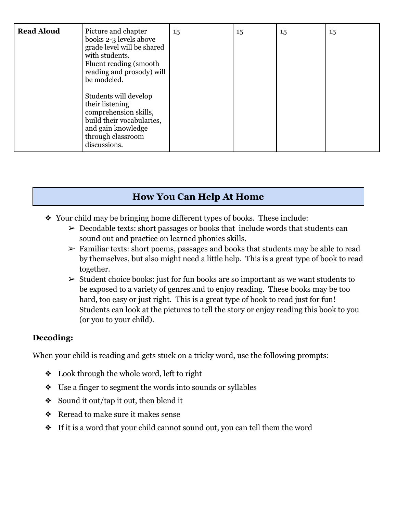| <b>Read Aloud</b> | Picture and chapter<br>books 2-3 levels above<br>grade level will be shared<br>with students.<br>Fluent reading (smooth)<br>reading and prosody) will<br>be modeled. | 15 | 15 | 15 | 15 |
|-------------------|----------------------------------------------------------------------------------------------------------------------------------------------------------------------|----|----|----|----|
|                   | Students will develop<br>their listening<br>comprehension skills,<br>build their vocabularies,<br>and gain knowledge<br>through classroom<br>discussions.            |    |    |    |    |

## **How You Can Help At Home**

- ❖ Your child may be bringing home different types of books. These include:
	- $\geq$  Decodable texts: short passages or books that include words that students can sound out and practice on learned phonics skills.
	- $\triangleright$  Familiar texts: short poems, passages and books that students may be able to read by themselves, but also might need a little help. This is a great type of book to read together.
	- $\triangleright$  Student choice books: just for fun books are so important as we want students to be exposed to a variety of genres and to enjoy reading. These books may be too hard, too easy or just right. This is a great type of book to read just for fun! Students can look at the pictures to tell the story or enjoy reading this book to you (or you to your child).

### **Decoding:**

When your child is reading and gets stuck on a tricky word, use the following prompts:

- ❖ Look through the whole word, left to right
- ❖ Use a finger to segment the words into sounds or syllables
- ❖ Sound it out/tap it out, then blend it
- ❖ Reread to make sure it makes sense
- ❖ If it is a word that your child cannot sound out, you can tell them the word